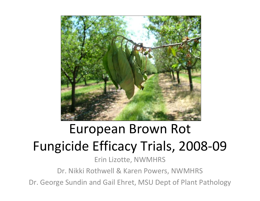

# European Brown Rot Fungicide Efficacy Trials, 2008-09

Erin Lizotte, NWMHRS

Dr. Nikki Rothwell & Karen Powers, NWMHRS

Dr. George Sundin and Gail Ehret, MSU Dept of Plant Pathology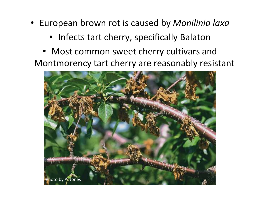- European brown rot is caused by Monilinia laxa
	- Infects tart cherry, specifically Balaton
	- Most common sweet cherry cultivars and Montmorency tart cherry are reasonably resistant

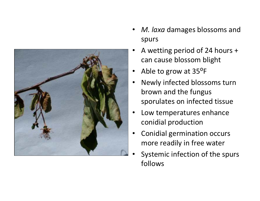

- •• M. laxa damages blossoms and spurs
- • A wetting period of 24 hours + can cause blossom blight
- $\bullet$ Able to grow at 35⁰F
- $\bullet$  Newly infected blossoms turn brown and the fungus sporulates on infected tissue
- • Low temperatures enhance conidial production
- • Conidial germination occurs more readily in free water
- • Systemic infection of the spurs follows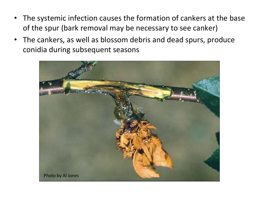- • The systemic infection causes the formation of cankers at the base of the spur (bark removal may be necessary to see canker)
- $\bullet$  The cankers, as well as blossom debris and dead spurs, produce conidia during subsequent seasons

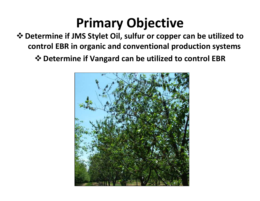## Primary Objective

 Determine if JMS Stylet Oil, sulfur or copper can be utilized tocontrol EBR in organic and conventional production systems

Determine if Vangard can be utilized to control EBR

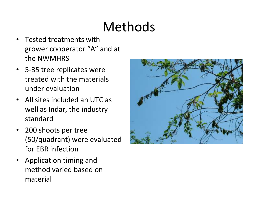# Methods

- • Tested treatments with grower cooperator "A" and at the NWMHRS
- 5-35 tree replicates were treated with the materials under evaluation
- All sites included an UTC as well as Indar, the industry standard
- • 200 shoots per tree (50/quadrant) were evaluated for EBR infection
- Application timing and method varied based on material

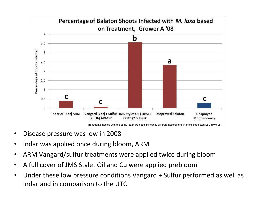

- •Disease pressure was low in 2008
- •Indar was applied once during bloom, ARM
- ARM Vangard/sulfur treatments were applied twice during bloom•
- •A full cover of JMS Stylet Oil and Cu were applied prebloom
- Under these low pressure conditions Vangard + Sulfur performed as well as •Indar and in comparison to the UTC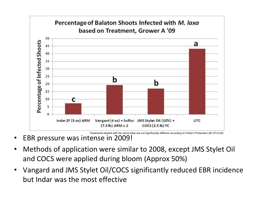

EBR pressure was intense in 2009!

•

- • Methods of application were similar to 2008, except JMS Stylet Oil and COCS were applied during bloom (Approx 50%)
- • Vangard and JMS Stylet Oil/COCS significantly reduced EBR incidence but Indar was the most effective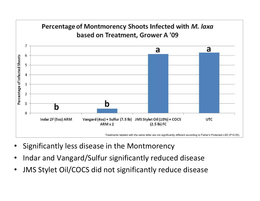

- •Significantly less disease in the Montmorency
- •Indar and Vangard/Sulfur significantly reduced disease
- •JMS Stylet Oil/COCS did not significantly reduce disease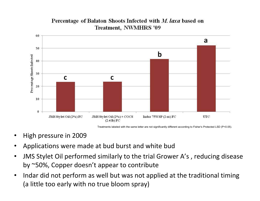

#### Percentage of Balaton Shoots Infected with M. laxa based on Treatment, NWMHRS '09

Treatments labeled with the same letter are not significantly different according to Fisher's Protected LSD (P<0.05).

- •High pressure in 2009
- •Applications were made at bud burst and white bud
- • JMS Stylet Oil performed similarly to the trial Grower A's , reducing disease by ~50%, Copper doesn't appear to contribute
- • Indar did not perform as well but was not applied at the traditional timing (a little too early with no true bloom spray)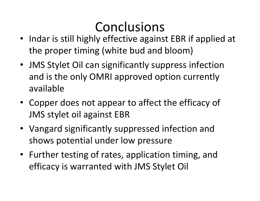## Conclusions

- Indar is still highly effective against EBR if applied at the proper timing (white bud and bloom)
- JMS Stylet Oil can significantly suppress infection and is the only OMRI approved option currently available
- Copper does not appear to affect the efficacy of JMS stylet oil against EBR
- Vangard significantly suppressed infection and shows potential under low pressure
- Further testing of rates, application timing, and efficacy is warranted with JMS Stylet Oil